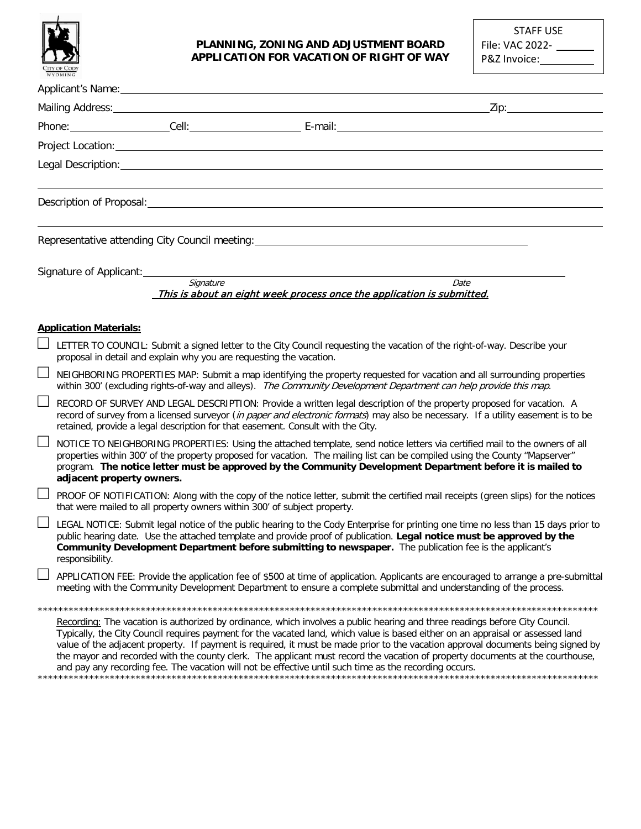

## **PLANNING, ZONING AND ADJUSTMENT BOARD APPLICATION FOR VACATION OF RIGHT OF WAY**

STAFF USE File: VAC 2022- P&Z Invoice:

|   | Applicant's Name: 1990 and 200 and 200 and 200 and 200 and 200 and 200 and 200 and 200 and 200 and 200 and 200                                                                                                                                                                                                                                                                                                                                                                                                                                                                                                                                |
|---|-----------------------------------------------------------------------------------------------------------------------------------------------------------------------------------------------------------------------------------------------------------------------------------------------------------------------------------------------------------------------------------------------------------------------------------------------------------------------------------------------------------------------------------------------------------------------------------------------------------------------------------------------|
|   | _Zip:________________________                                                                                                                                                                                                                                                                                                                                                                                                                                                                                                                                                                                                                 |
|   | Phone: Cell: Cell: Cell: E-mail: E-mail: Cell: E-mail: Cell: E-mail: Cell: E-mail: Cell: E-mail: E-mail: Cell: E-mail: Cell: E-mail: Cell: E-mail: Cell: E-mail: Cell: E-mail: Cell: E-mail: Cell: E-mail: Cell: E-mail: Cell:                                                                                                                                                                                                                                                                                                                                                                                                                |
|   |                                                                                                                                                                                                                                                                                                                                                                                                                                                                                                                                                                                                                                               |
|   |                                                                                                                                                                                                                                                                                                                                                                                                                                                                                                                                                                                                                                               |
|   | Description of Proposal: University of American Section 2014 and 2014 and 2014 and 2014 and 2014 and 2014 and 2014 and 2014 and 2014 and 2014 and 2014 and 2014 and 2014 and 2014 and 2014 and 2014 and 2014 and 2014 and 2014                                                                                                                                                                                                                                                                                                                                                                                                                |
|   | Representative attending City Council meeting: _________________________________                                                                                                                                                                                                                                                                                                                                                                                                                                                                                                                                                              |
|   | Signature of Applicant:                                                                                                                                                                                                                                                                                                                                                                                                                                                                                                                                                                                                                       |
|   | Signature<br>Date<br>This is about an eight week process once the application is submitted.                                                                                                                                                                                                                                                                                                                                                                                                                                                                                                                                                   |
|   | <b>Application Materials:</b>                                                                                                                                                                                                                                                                                                                                                                                                                                                                                                                                                                                                                 |
|   | LETTER TO COUNCIL: Submit a signed letter to the City Council requesting the vacation of the right-of-way. Describe your<br>proposal in detail and explain why you are requesting the vacation.                                                                                                                                                                                                                                                                                                                                                                                                                                               |
| ⊔ | NEIGHBORING PROPERTIES MAP: Submit a map identifying the property requested for vacation and all surrounding properties<br>within 300' (excluding rights-of-way and alleys). The Community Development Department can help provide this map.                                                                                                                                                                                                                                                                                                                                                                                                  |
|   | RECORD OF SURVEY AND LEGAL DESCRIPTION: Provide a written legal description of the property proposed for vacation. A<br>record of survey from a licensed surveyor (in paper and electronic formats) may also be necessary. If a utility easement is to be<br>retained, provide a legal description for that easement. Consult with the City.                                                                                                                                                                                                                                                                                                  |
|   | NOTICE TO NEIGHBORING PROPERTIES: Using the attached template, send notice letters via certified mail to the owners of all<br>properties within 300' of the property proposed for vacation. The mailing list can be compiled using the County "Mapserver"<br>program. The notice letter must be approved by the Community Development Department before it is mailed to<br>adjacent property owners.                                                                                                                                                                                                                                          |
|   | PROOF OF NOTIFICATION: Along with the copy of the notice letter, submit the certified mail receipts (green slips) for the notices<br>that were mailed to all property owners within 300' of subject property.                                                                                                                                                                                                                                                                                                                                                                                                                                 |
|   | LEGAL NOTICE: Submit legal notice of the public hearing to the Cody Enterprise for printing one time no less than 15 days prior to<br>public hearing date. Use the attached template and provide proof of publication. Legal notice must be approved by the<br>Community Development Department before submitting to newspaper. The publication fee is the applicant's<br>responsibility.                                                                                                                                                                                                                                                     |
|   | APPLICATION FEE: Provide the application fee of \$500 at time of application. Applicants are encouraged to arrange a pre-submittal<br>meeting with the Community Development Department to ensure a complete submittal and understanding of the process.                                                                                                                                                                                                                                                                                                                                                                                      |
|   |                                                                                                                                                                                                                                                                                                                                                                                                                                                                                                                                                                                                                                               |
|   | Recording: The vacation is authorized by ordinance, which involves a public hearing and three readings before City Council.<br>Typically, the City Council requires payment for the vacated land, which value is based either on an appraisal or assessed land<br>value of the adjacent property. If payment is required, it must be made prior to the vacation approval documents being signed by<br>the mayor and recorded with the county clerk. The applicant must record the vacation of property documents at the courthouse,<br>and pay any recording fee. The vacation will not be effective until such time as the recording occurs. |

\*\*\*\*\*\*\*\*\*\*\*\*\*\*\*\*\*\*\*\*\*\*\*\*\*\*\*\*\*\*\*\*\*\*\*\*\*\*\*\*\*\*\*\*\*\*\*\*\*\*\*\*\*\*\*\*\*\*\*\*\*\*\*\*\*\*\*\*\*\*\*\*\*\*\*\*\*\*\*\*\*\*\*\*\*\*\*\*\*\*\*\*\*\*\*\*\*\*\*\*\*\*\*\*\*\*\*\*\*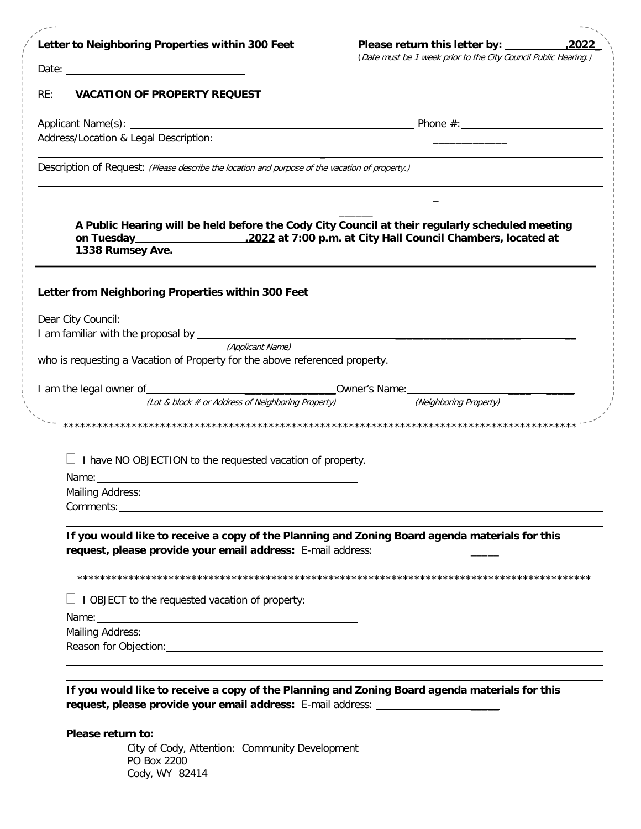| Letter to Neighboring Properties within 300 Feet                                                                                                                                   | Please return this letter by: __________                                         | ,2022 |
|------------------------------------------------------------------------------------------------------------------------------------------------------------------------------------|----------------------------------------------------------------------------------|-------|
|                                                                                                                                                                                    | (Date must be 1 week prior to the City Council Public Hearing.)                  |       |
| Date: $\frac{1}{2}$                                                                                                                                                                |                                                                                  |       |
| RE:<br><b>VACATION OF PROPERTY REQUEST</b>                                                                                                                                         |                                                                                  |       |
|                                                                                                                                                                                    |                                                                                  |       |
|                                                                                                                                                                                    |                                                                                  |       |
|                                                                                                                                                                                    | ,我们也不会有什么。""我们的人,我们也不会有什么?""我们的人,我们也不会有什么?""我们的人,我们也不会有什么?""我们的人,我们也不会有什么?""我们的人 |       |
| A Public Hearing will be held before the Cody City Council at their regularly scheduled meeting<br>1338 Rumsey Ave.                                                                |                                                                                  |       |
| Letter from Neighboring Properties within 300 Feet                                                                                                                                 |                                                                                  |       |
| Dear City Council:                                                                                                                                                                 |                                                                                  |       |
| (Applicant Name)                                                                                                                                                                   |                                                                                  |       |
| who is requesting a Vacation of Property for the above referenced property.                                                                                                        |                                                                                  |       |
|                                                                                                                                                                                    |                                                                                  |       |
| (Lot & block # or Address of Neighboring Property) (Neighboring Property)                                                                                                          |                                                                                  |       |
|                                                                                                                                                                                    |                                                                                  |       |
| I have NO OBJECTION to the requested vacation of property.                                                                                                                         |                                                                                  |       |
| Name: Name:<br>Mailing Address:                                                                                                                                                    |                                                                                  |       |
|                                                                                                                                                                                    |                                                                                  |       |
| If you would like to receive a copy of the Planning and Zoning Board agenda materials for this<br>request, please provide your email address: E-mail address: ____________________ |                                                                                  |       |
| I OBJECT to the requested vacation of property:                                                                                                                                    |                                                                                  |       |
| Name: Name and the second contract of the second contract of the second contract of the second contract of the                                                                     |                                                                                  |       |
|                                                                                                                                                                                    |                                                                                  |       |
|                                                                                                                                                                                    |                                                                                  |       |
| If you would like to receive a copy of the Planning and Zoning Board agenda materials for this<br>request, please provide your email address: E-mail address: ____________________ |                                                                                  |       |
|                                                                                                                                                                                    |                                                                                  |       |
| Please return to:<br>City of Cody, Attention: Community Development                                                                                                                |                                                                                  |       |
| PO Box 2200                                                                                                                                                                        |                                                                                  |       |

Cody, WY 82414